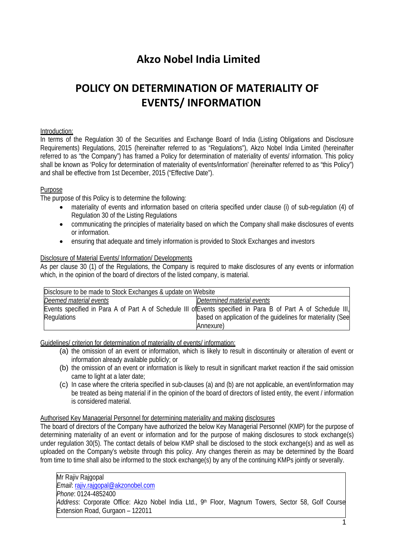# **Akzo Nobel India Limited**

# **POLICY ON DETERMINATION OF MATERIALITY OF EVENTS/ INFORMATION**

#### Introduction:

In terms of the Regulation 30 of the Securities and Exchange Board of India (Listing Obligations and Disclosure Requirements) Regulations, 2015 (hereinafter referred to as "Regulations"), Akzo Nobel India Limited (hereinafter referred to as "the Company") has framed a Policy for determination of materiality of events/ information. This policy shall be known as 'Policy for determination of materiality of events/information' (hereinafter referred to as "this Policy") and shall be effective from 1st December, 2015 ("Effective Date").

### Purpose

The purpose of this Policy is to determine the following:

- materiality of events and information based on criteria specified under clause (i) of sub-regulation (4) of Regulation 30 of the Listing Regulations
- communicating the principles of materiality based on which the Company shall make disclosures of events or information.
- ensuring that adequate and timely information is provided to Stock Exchanges and investors

### Disclosure of Material Events/ Information/ Developments

As per clause 30 (1) of the Regulations, the Company is required to make disclosures of any events or information which, in the opinion of the board of directors of the listed company, is material.

| Disclosure to be made to Stock Exchanges & update on Website |                                                                                                               |
|--------------------------------------------------------------|---------------------------------------------------------------------------------------------------------------|
| Deemed material events                                       | Determined material events                                                                                    |
|                                                              | Events specified in Para A of Part A of Schedule III of Events specified in Para B of Part A of Schedule III, |
| Regulations                                                  | based on application of the quidelines for materiality (See                                                   |
|                                                              | Annexure)                                                                                                     |

Guidelines/ criterion for determination of materiality of events/ information:

- (a) the omission of an event or information, which is likely to result in discontinuity or alteration of event or information already available publicly; or
- (b) the omission of an event or information is likely to result in significant market reaction if the said omission came to light at a later date;
- (c) In case where the criteria specified in sub-clauses (a) and (b) are not applicable, an event/information may be treated as being material if in the opinion of the board of directors of listed entity, the event / information is considered material.

#### Authorised Key Managerial Personnel for determining materiality and making disclosures

The board of directors of the Company have authorized the below Key Managerial Personnel (KMP) for the purpose of determining materiality of an event or information and for the purpose of making disclosures to stock exchange(s) under regulation 30(5). The contact details of below KMP shall be disclosed to the stock exchange(s) and as well as uploaded on the Company's website through this policy. Any changes therein as may be determined by the Board from time to time shall also be informed to the stock exchange(s) by any of the continuing KMPs jointly or severally.

Mr Rajiv Rajgopal *Email*: [rajiv.rajgopal@akzonobel.com](mailto:rajiv.rajgopal@akzonobel.com) *Phone*: 0124-4852400 *Address*: Corporate Office: Akzo Nobel India Ltd., 9th Floor, Magnum Towers, Sector 58, Golf Course Extension Road, Gurgaon – 122011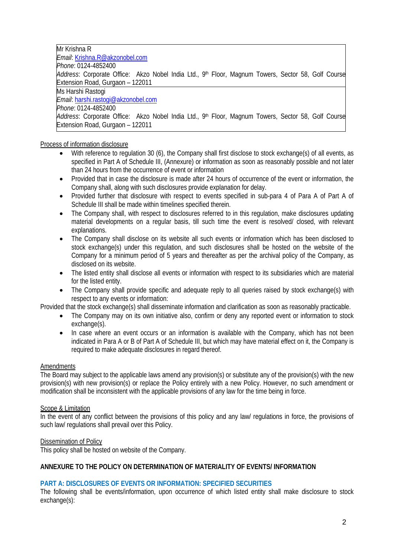Mr Krishna R *Email*: [Krishna.R@akzonobel.com](mailto:Krishna.R@akzonobel.com) *Phone*: 0124-4852400 *Address*: Corporate Office: Akzo Nobel India Ltd., 9th Floor, Magnum Towers, Sector 58, Golf Course Extension Road, Gurgaon – 122011 Ms Harshi Rastogi *Email*: [harshi.rastogi@akzonobel.com](mailto:harshi.rastogi@akzonobel.com) *Phone*: 0124-4852400 *Address*: Corporate Office: Akzo Nobel India Ltd., 9th Floor, Magnum Towers, Sector 58, Golf Course Extension Road, Gurgaon – 122011

### Process of information disclosure

- With reference to regulation 30 (6), the Company shall first disclose to stock exchange(s) of all events, as specified in Part A of Schedule III, (Annexure) or information as soon as reasonably possible and not later than 24 hours from the occurrence of event or information
- Provided that in case the disclosure is made after 24 hours of occurrence of the event or information, the Company shall, along with such disclosures provide explanation for delay.
- Provided further that disclosure with respect to events specified in sub-para 4 of Para A of Part A of Schedule III shall be made within timelines specified therein.
- The Company shall, with respect to disclosures referred to in this regulation, make disclosures updating material developments on a regular basis, till such time the event is resolved/ closed, with relevant explanations.
- The Company shall disclose on its website all such events or information which has been disclosed to stock exchange(s) under this regulation, and such disclosures shall be hosted on the website of the Company for a minimum period of 5 years and thereafter as per the archival policy of the Company, as disclosed on its website.
- The listed entity shall disclose all events or information with respect to its subsidiaries which are material for the listed entity.
- The Company shall provide specific and adequate reply to all queries raised by stock exchange(s) with respect to any events or information:

Provided that the stock exchange(s) shall disseminate information and clarification as soon as reasonably practicable.

- The Company may on its own initiative also, confirm or deny any reported event or information to stock exchange(s).
- In case where an event occurs or an information is available with the Company, which has not been indicated in Para A or B of Part A of Schedule III, but which may have material effect on it, the Company is required to make adequate disclosures in regard thereof.

# Amendments

The Board may subject to the applicable laws amend any provision(s) or substitute any of the provision(s) with the new provision(s) with new provision(s) or replace the Policy entirely with a new Policy. However, no such amendment or modification shall be inconsistent with the applicable provisions of any law for the time being in force.

# Scope & Limitation

In the event of any conflict between the provisions of this policy and any law/ regulations in force, the provisions of such law/ regulations shall prevail over this Policy.

#### Dissemination of Policy

This policy shall be hosted on website of the Company.

# **ANNEXURE TO THE POLICY ON DETERMINATION OF MATERIALITY OF EVENTS/ INFORMATION**

# **PART A: DISCLOSURES OF EVENTS OR INFORMATION: SPECIFIED SECURITIES**

The following shall be events/information, upon occurrence of which listed entity shall make disclosure to stock exchange(s):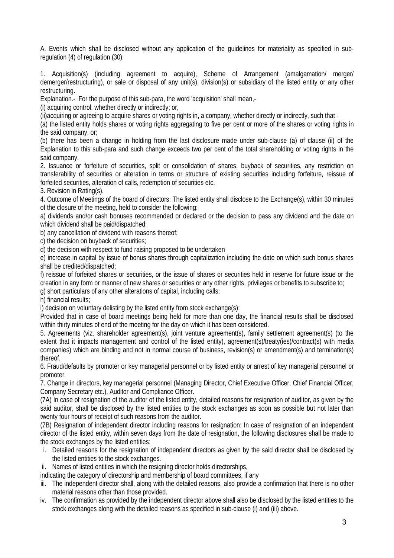A. Events which shall be disclosed without any application of the guidelines for materiality as specified in subregulation (4) of regulation (30):

1. Acquisition(s) (including agreement to acquire), Scheme of Arrangement (amalgamation/ merger/ demerger/restructuring), or sale or disposal of any unit(s), division(s) or subsidiary of the listed entity or any other restructuring.

Explanation.- For the purpose of this sub-para, the word 'acquisition' shall mean,-

(i) acquiring control, whether directly or indirectly; or,

(ii)acquiring or agreeing to acquire shares or voting rights in, a company, whether directly or indirectly, such that -

(a) the listed entity holds shares or voting rights aggregating to five per cent or more of the shares or voting rights in the said company, or;

(b) there has been a change in holding from the last disclosure made under sub-clause (a) of clause (ii) of the Explanation to this sub-para and such change exceeds two per cent of the total shareholding or voting rights in the said company.

2. Issuance or forfeiture of securities, split or consolidation of shares, buyback of securities, any restriction on transferability of securities or alteration in terms or structure of existing securities including forfeiture, reissue of forfeited securities, alteration of calls, redemption of securities etc.

3. Revision in Rating(s).

4. Outcome of Meetings of the board of directors: The listed entity shall disclose to the Exchange(s), within 30 minutes of the closure of the meeting, held to consider the following:

a) dividends and/or cash bonuses recommended or declared or the decision to pass any dividend and the date on which dividend shall be paid/dispatched;

b) any cancellation of dividend with reasons thereof;

c) the decision on buyback of securities;

d) the decision with respect to fund raising proposed to be undertaken

e) increase in capital by issue of bonus shares through capitalization including the date on which such bonus shares shall be credited/dispatched;

f) reissue of forfeited shares or securities, or the issue of shares or securities held in reserve for future issue or the creation in any form or manner of new shares or securities or any other rights, privileges or benefits to subscribe to;

g) short particulars of any other alterations of capital, including calls;

h) financial results;

i) decision on voluntary delisting by the listed entity from stock exchange(s):

Provided that in case of board meetings being held for more than one day, the financial results shall be disclosed within thirty minutes of end of the meeting for the day on which it has been considered.

5. Agreements (viz. shareholder agreement(s), joint venture agreement(s), family settlement agreement(s) (to the extent that it impacts management and control of the listed entity), agreement(s)/treaty(ies)/contract(s) with media companies) which are binding and not in normal course of business, revision(s) or amendment(s) and termination(s) thereof.

6. Fraud/defaults by promoter or key managerial personnel or by listed entity or arrest of key managerial personnel or promoter.

7. Change in directors, key managerial personnel (Managing Director, Chief Executive Officer, Chief Financial Officer, Company Secretary etc.), Auditor and Compliance Officer.

(7A) In case of resignation of the auditor of the listed entity, detailed reasons for resignation of auditor, as given by the said auditor, shall be disclosed by the listed entities to the stock exchanges as soon as possible but not later than twenty four hours of receipt of such reasons from the auditor.

(7B) Resignation of independent director including reasons for resignation: In case of resignation of an independent director of the listed entity, within seven days from the date of resignation, the following disclosures shall be made to the stock exchanges by the listed entities:

- i. Detailed reasons for the resignation of independent directors as given by the said director shall be disclosed by the listed entities to the stock exchanges.
- ii. Names of listed entities in which the resigning director holds directorships,
- indicating the category of directorship and membership of board committees, if any
- iii. The independent director shall, along with the detailed reasons, also provide a confirmation that there is no other material reasons other than those provided.
- iv. The confirmation as provided by the independent director above shall also be disclosed by the listed entities to the stock exchanges along with the detailed reasons as specified in sub-clause (i) and (iii) above.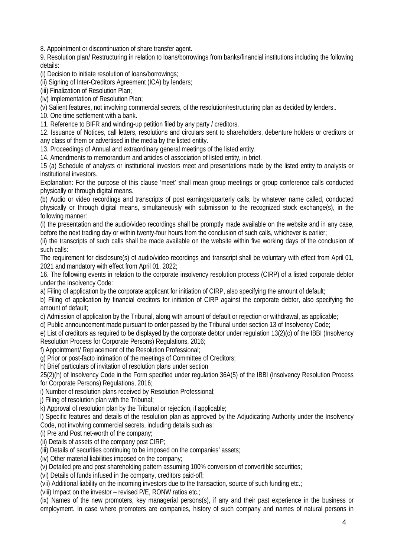8. Appointment or discontinuation of share transfer agent.

9. Resolution plan/ Restructuring in relation to loans/borrowings from banks/financial institutions including the following details:

(i) Decision to initiate resolution of loans/borrowings;

(ii) Signing of Inter-Creditors Agreement (ICA) by lenders;

(iii) Finalization of Resolution Plan;

(iv) Implementation of Resolution Plan;

(v) Salient features, not involving commercial secrets, of the resolution/restructuring plan as decided by lenders..

10. One time settlement with a bank.

11. Reference to BIFR and winding-up petition filed by any party / creditors.

12. Issuance of Notices, call letters, resolutions and circulars sent to shareholders, debenture holders or creditors or any class of them or advertised in the media by the listed entity.

13. Proceedings of Annual and extraordinary general meetings of the listed entity.

14. Amendments to memorandum and articles of association of listed entity, in brief.

15 (a) Schedule of analysts or institutional investors meet and presentations made by the listed entity to analysts or institutional investors.

Explanation: For the purpose of this clause 'meet' shall mean group meetings or group conference calls conducted physically or through digital means.

(b) Audio or video recordings and transcripts of post earnings/quarterly calls, by whatever name called, conducted physically or through digital means, simultaneously with submission to the recognized stock exchange(s), in the following manner:

(i) the presentation and the audio/video recordings shall be promptly made available on the website and in any case, before the next trading day or within twenty-four hours from the conclusion of such calls, whichever is earlier;

(ii) the transcripts of such calls shall be made available on the website within five working days of the conclusion of such calls:

The requirement for disclosure(s) of audio/video recordings and transcript shall be voluntary with effect from April 01, 2021 and mandatory with effect from April 01, 2022;

16. The following events in relation to the corporate insolvency resolution process (CIRP) of a listed corporate debtor under the Insolvency Code:

a) Filing of application by the corporate applicant for initiation of CIRP, also specifying the amount of default;

b) Filing of application by financial creditors for initiation of CIRP against the corporate debtor, also specifying the amount of default;

c) Admission of application by the Tribunal, along with amount of default or rejection or withdrawal, as applicable;

d) Public announcement made pursuant to order passed by the Tribunal under section 13 of Insolvency Code;

e) List of creditors as required to be displayed by the corporate debtor under regulation 13(2)(c) of the IBBI (Insolvency Resolution Process for Corporate Persons) Regulations, 2016;

f) Appointment/ Replacement of the Resolution Professional;

g) Prior or post-facto intimation of the meetings of Committee of Creditors;

h) Brief particulars of invitation of resolution plans under section

25(2)(h) of Insolvency Code in the Form specified under regulation 36A(5) of the IBBI (Insolvency Resolution Process for Corporate Persons) Regulations, 2016;

i) Number of resolution plans received by Resolution Professional;

j) Filing of resolution plan with the Tribunal;

k) Approval of resolution plan by the Tribunal or rejection, if applicable;

l) Specific features and details of the resolution plan as approved by the Adjudicating Authority under the Insolvency Code, not involving commercial secrets, including details such as:

(i) Pre and Post net-worth of the company;

(ii) Details of assets of the company post CIRP;

(iii) Details of securities continuing to be imposed on the companies' assets;

(iv) Other material liabilities imposed on the company;

(v) Detailed pre and post shareholding pattern assuming 100% conversion of convertible securities;

(vi) Details of funds infused in the company, creditors paid-off;

(vii) Additional liability on the incoming investors due to the transaction, source of such funding etc.;

(viii) Impact on the investor – revised P/E, RONW ratios etc.;

(ix) Names of the new promoters, key managerial persons(s), if any and their past experience in the business or employment. In case where promoters are companies, history of such company and names of natural persons in